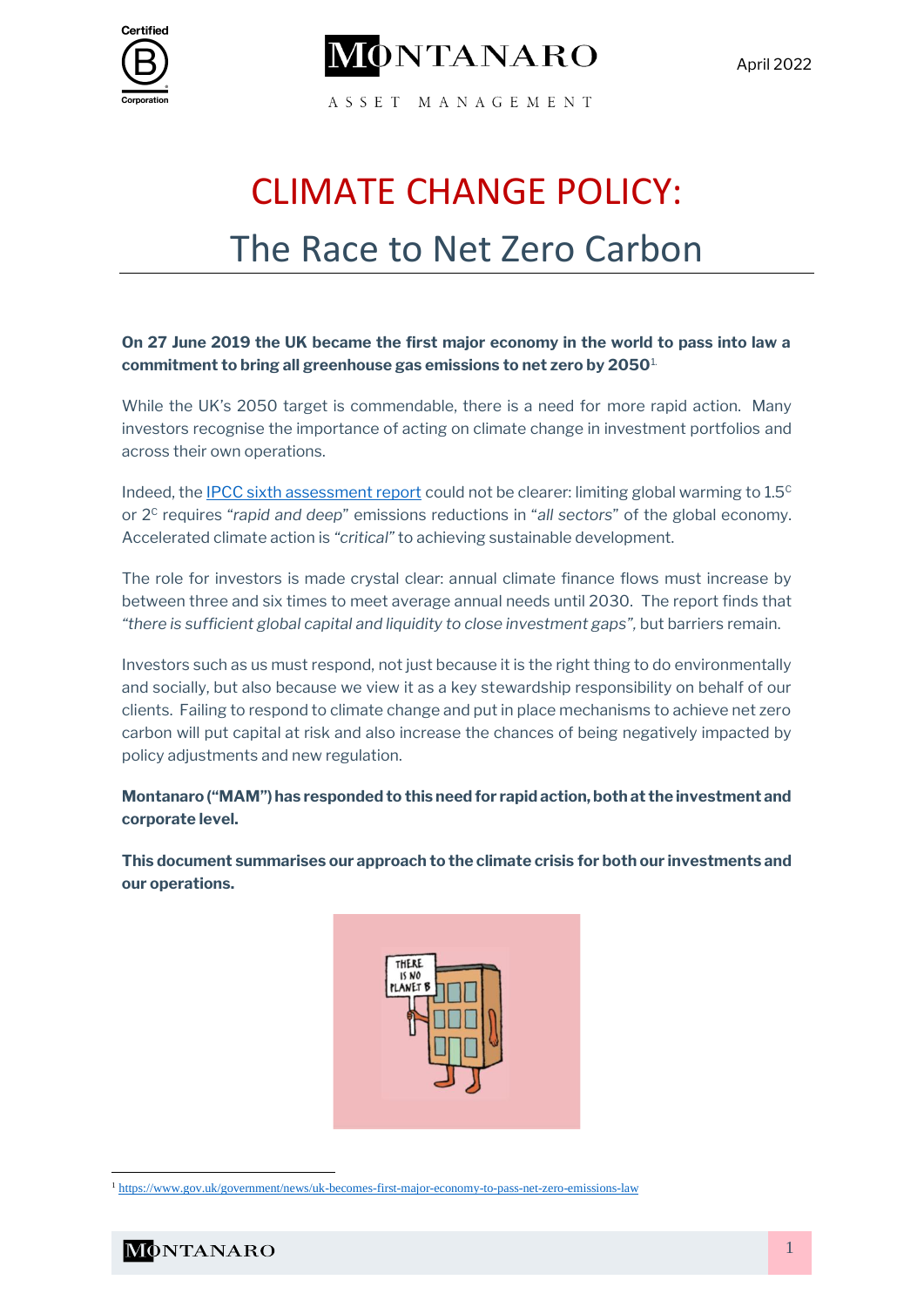



April 2022

ASSET MANAGEMENT

# CLIMATE CHANGE POLICY: The Race to Net Zero Carbon

# **On 27 June 2019 the UK became the first major economy in the world to pass into law a commitment to bring all greenhouse gas emissions to net zero by 2050**1.

While the UK's 2050 target is commendable, there is a need for more rapid action. Many investors recognise the importance of acting on climate change in investment portfolios and across their own operations.

Indeed, the [IPCC sixth assessment report](https://www.ipcc.ch/assessment-report/ar6/) could not be clearer: limiting global warming to  $1.5<sup>c</sup>$ or 2<sup>C</sup> requires "*rapid and deep*" emissions reductions in "*all sectors*" of the global economy. Accelerated climate action is *"critical"* to achieving sustainable development.

The role for investors is made crystal clear: annual climate finance flows must increase by between three and six times to meet average annual needs until 2030. The report finds that *"there is sufficient global capital and liquidity to close investment gaps",* but barriers remain.

Investors such as us must respond, not just because it is the right thing to do environmentally and socially, but also because we view it as a key stewardship responsibility on behalf of our clients. Failing to respond to climate change and put in place mechanisms to achieve net zero carbon will put capital at risk and also increase the chances of being negatively impacted by policy adjustments and new regulation.

**Montanaro ("MAM") has responded to this need for rapid action, both at the investment and corporate level.** 

**This document summarises our approach to the climate crisis for both our investments and our operations.** 



<sup>1</sup> <https://www.gov.uk/government/news/uk-becomes-first-major-economy-to-pass-net-zero-emissions-law>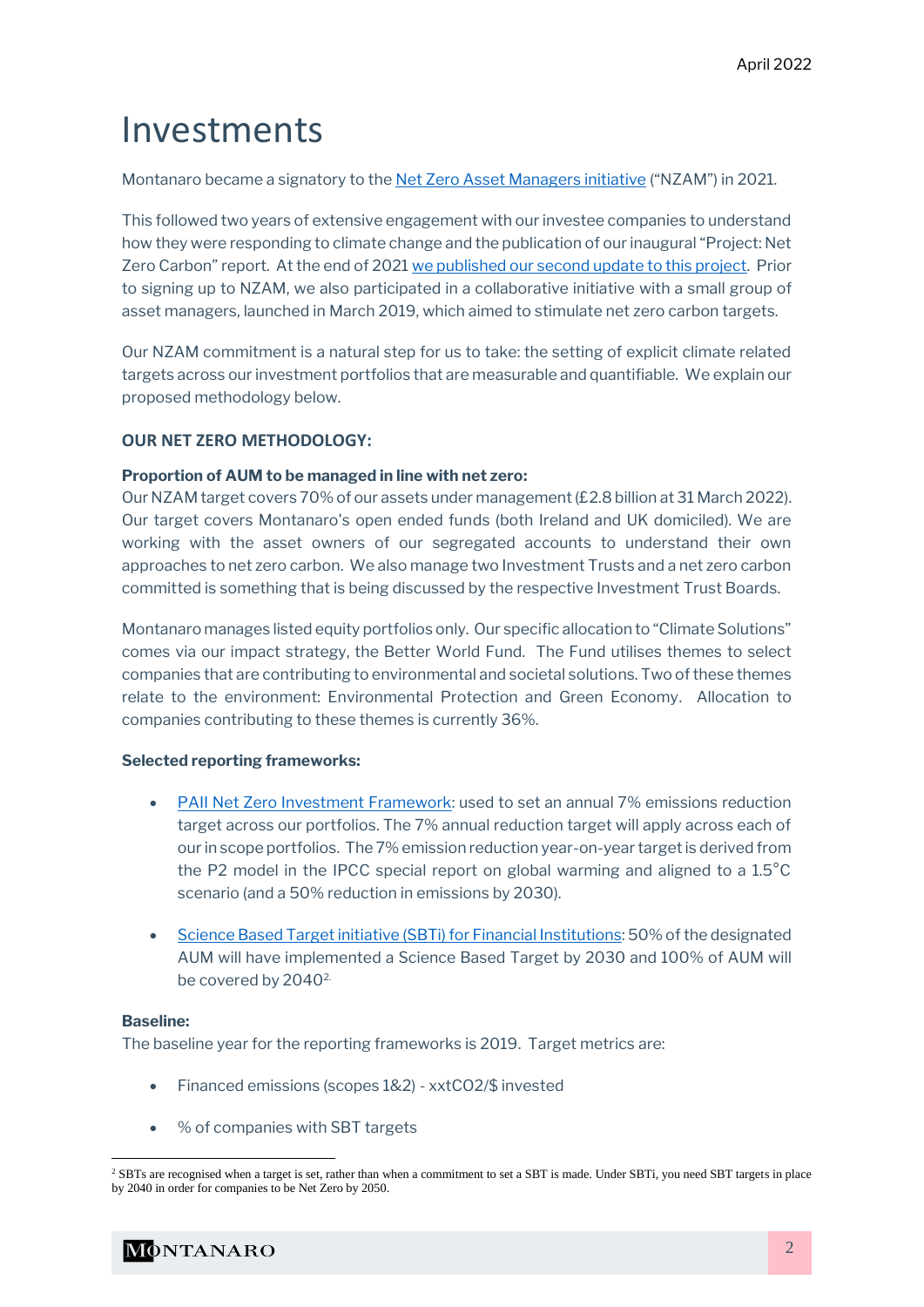# Investments

Montanaro became a signatory to the [Net Zero Asset Managers initiative](https://www.netzeroassetmanagers.org/) ("NZAM") in 2021.

This followed two years of extensive engagement with our investee companies to understand how they were responding to climate change and the publication of our inaugural "Project: Net Zero Carbon" report. At the end of 2021 [we published our second update to this project.](https://montanaro.co.uk/wp-content/uploads/MONTANARO-2021-Project-Net-Zero-Carbon-December-2021.pdf) Prior to signing up to NZAM, we also participated in a collaborative initiative with a small group of asset managers, launched in March 2019, which aimed to stimulate net zero carbon targets.

Our NZAM commitment is a natural step for us to take: the setting of explicit climate related targets across our investment portfolios that are measurable and quantifiable. We explain our proposed methodology below.

# **OUR NET ZERO METHODOLOGY:**

# **Proportion of AUM to be managed in line with net zero:**

Our NZAM target covers 70% of our assets under management (£2.8 billion at 31 March 2022). Our target covers Montanaro's open ended funds (both Ireland and UK domiciled). We are working with the asset owners of our segregated accounts to understand their own approaches to net zero carbon. We also manage two Investment Trusts and a net zero carbon committed is something that is being discussed by the respective Investment Trust Boards.

Montanaro manages listed equity portfolios only. Our specific allocation to "Climate Solutions" comes via our impact strategy, the Better World Fund. The Fund utilises themes to select companies that are contributing to environmental and societal solutions. Two of these themes relate to the environment: Environmental Protection and Green Economy. Allocation to companies contributing to these themes is currently 36%.

# **Selected reporting frameworks:**

- [PAII Net Zero Investment Framework:](https://www.iigcc.org/our-work/paris-aligned-investment-initiative/) used to set an annual 7% emissions reduction target across our portfolios. The 7% annual reduction target will apply across each of our in scope portfolios. The 7% emission reduction year-on-year target is derived from the P2 model in the IPCC special report on global warming and aligned to a 1.5°C scenario (and a 50% reduction in emissions by 2030).
- Science Based Target initiative (SBTi) for Financial Institutions: 50% of the designated AUM will have implemented a Science Based Target by 2030 and 100% of AUM will be covered by 2040<sup>2.</sup>

#### **Baseline:**

The baseline year for the reporting frameworks is 2019. Target metrics are:

- Financed emissions (scopes 1&2) xxtCO2/\$ invested
- % of companies with SBT targets

<sup>&</sup>lt;sup>2</sup> SBTs are recognised when a target is set, rather than when a commitment to set a SBT is made. Under SBTi, you need SBT targets in place by 2040 in order for companies to be Net Zero by 2050.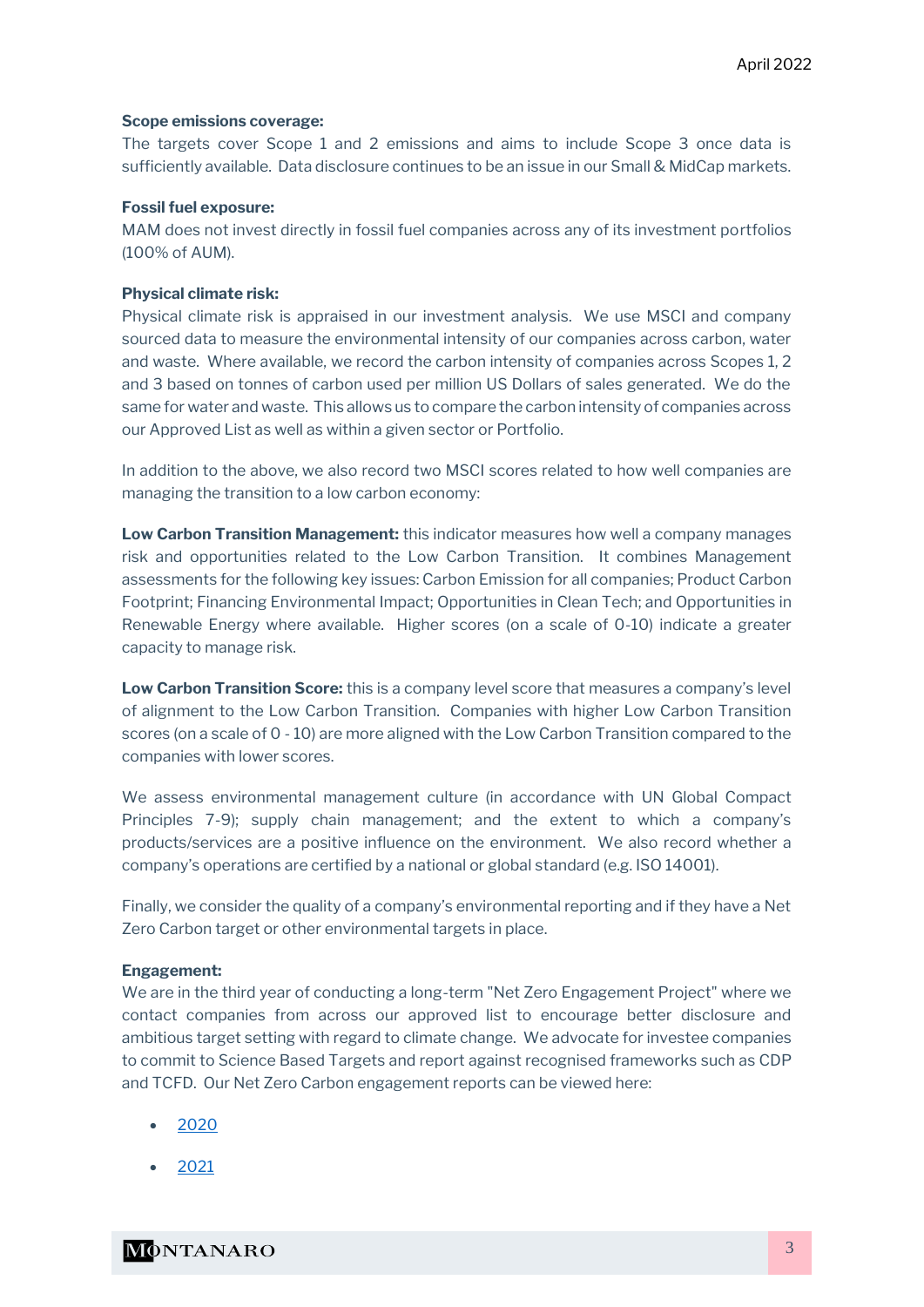#### **Scope emissions coverage:**

The targets cover Scope 1 and 2 emissions and aims to include Scope 3 once data is sufficiently available. Data disclosure continues to be an issue in our Small & MidCap markets.

#### **Fossil fuel exposure:**

MAM does not invest directly in fossil fuel companies across any of its investment portfolios (100% of AUM).

#### **Physical climate risk:**

Physical climate risk is appraised in our investment analysis. We use MSCI and company sourced data to measure the environmental intensity of our companies across carbon, water and waste. Where available, we record the carbon intensity of companies across Scopes 1, 2 and 3 based on tonnes of carbon used per million US Dollars of sales generated. We do the same for water and waste. This allows us to compare the carbon intensity of companies across our Approved List as well as within a given sector or Portfolio.

In addition to the above, we also record two MSCI scores related to how well companies are managing the transition to a low carbon economy:

**Low Carbon Transition Management:** this indicator measures how well a company manages risk and opportunities related to the Low Carbon Transition. It combines Management assessments for the following key issues: Carbon Emission for all companies; Product Carbon Footprint; Financing Environmental Impact; Opportunities in Clean Tech; and Opportunities in Renewable Energy where available. Higher scores (on a scale of 0-10) indicate a greater capacity to manage risk.

**Low Carbon Transition Score:** this is a company level score that measures a company's level of alignment to the Low Carbon Transition. Companies with higher Low Carbon Transition scores (on a scale of 0 - 10) are more aligned with the Low Carbon Transition compared to the companies with lower scores.

We assess environmental management culture (in accordance with UN Global Compact Principles 7-9); supply chain management; and the extent to which a company's products/services are a positive influence on the environment. We also record whether a company's operations are certified by a national or global standard (e.g. ISO 14001).

Finally, we consider the quality of a company's environmental reporting and if they have a Net Zero Carbon target or other environmental targets in place.

#### **Engagement:**

We are in the third year of conducting a long-term "Net Zero Engagement Project" where we contact companies from across our approved list to encourage better disclosure and ambitious target setting with regard to climate change. We advocate for investee companies to commit to Science Based Targets and report against recognised frameworks such as CDP and TCFD. Our Net Zero Carbon engagement reports can be viewed here:

- [2020](https://montanaro.co.uk/wp-content/uploads/MONTANARO-Project-Net-Zero-Carbon-December-2020-Final-January-2020.pdf)
- [2021](https://montanaro.co.uk/wp-content/uploads/MONTANARO-2021-Project-Net-Zero-Carbon-December-2021.pdf)